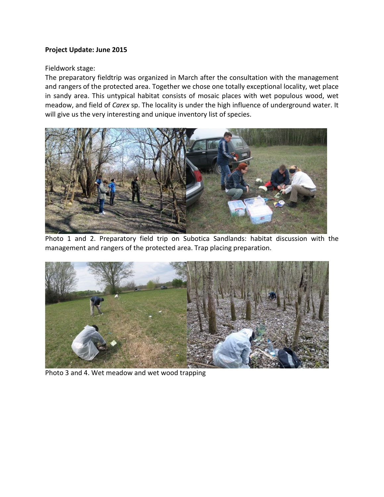## **Project Update: June 2015**

## Fieldwork stage:

The preparatory fieldtrip was organized in March after the consultation with the management and rangers of the protected area. Together we chose one totally exceptional locality, wet place in sandy area. This untypical habitat consists of mosaic places with wet populous wood, wet meadow, and field of *Carex* sp. The locality is under the high influence of underground water. It will give us the very interesting and unique inventory list of species.



Photo 1 and 2. Preparatory field trip on Subotica Sandlands: habitat discussion with the management and rangers of the protected area. Trap placing preparation.



Photo 3 and 4. Wet meadow and wet wood trapping